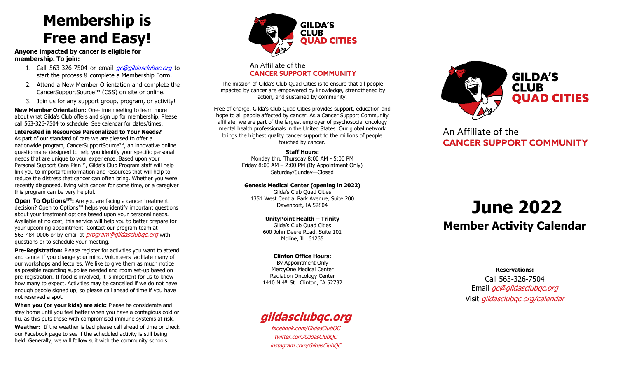### **Membership is Free and Easy!**

**Anyone impacted by cancer is eligible for membership. To join:** 

- 1. Call 563-326-7504 or email *ac@gildasclubac.org* to start the process & complete a Membership Form.
- 2. Attend a New Member Orientation and complete the CancerSupportSource™ (CSS) on site or online.
- 3. Join us for any support group, program, or activity!

**New Member Orientation:** One-time meeting to learn more about what Gilda's Club offers and sign up for membership. Please call 563-326-7504 to schedule. See calendar for dates/times.

**Interested in Resources Personalized to Your Needs?** As part of our standard of care we are pleased to offer a nationwide program, CancerSupportSource™, an innovative online questionnaire designed to help you identify your specific personal needs that are unique to your experience. Based upon your Personal Support Care Plan™, Gilda's Club Program staff will help link you to important information and resources that will help to reduce the distress that cancer can often bring. Whether you were recently diagnosed, living with cancer for some time, or a caregiver this program can be very helpful.

**Open To OptionsTM:** Are you are facing a cancer treatment decision? Open to Options™ helps you identify important questions about your treatment options based upon your personal needs. Available at no cost, this service will help you to better prepare for your upcoming appointment. Contact our program team at 563-484-0006 or by email at *program@gildasclubgc.org* with questions or to schedule your meeting.

**Pre-Registration:** Please register for activities you want to attend and cancel if you change your mind. Volunteers facilitate many of our workshops and lectures. We like to give them as much notice as possible regarding supplies needed and room set-up based on pre-registration. If food is involved, it is important for us to know how many to expect. Activities may be cancelled if we do not have enough people signed up, so please call ahead of time if you have not reserved a spot.

**When you (or your kids) are sick:** Please be considerate and stay home until you feel better when you have a contagious cold or flu, as this puts those with compromised immune systems at risk.

**Weather:** If the weather is bad please call ahead of time or check our Facebook page to see if the scheduled activity is still being held. Generally, we will follow suit with the community schools.



### An Affiliate of the **CANCER SUPPORT COMMUNITY**

The mission of Gilda's Club Quad Cities is to ensure that all people impacted by cancer are empowered by knowledge, strengthened by action, and sustained by community.

Free of charge, Gilda's Club Quad Cities provides support, education and hope to all people affected by cancer. As a Cancer Support Community affiliate, we are part of the largest employer of psychosocial oncology mental health professionals in the United States. Our global network brings the highest quality cancer support to the millions of people touched by cancer.

#### **Staff Hours:**

Monday thru Thursday 8:00 AM - 5:00 PM Friday 8:00 AM – 2:00 PM (By Appointment Only) Saturday/Sunday—Closed

**Genesis Medical Center (opening in 2022)**

Gilda's Club Quad Cities 1351 West Central Park Avenue, Suite 200 Davenport, IA 52804

> **UnityPoint Health – Trinity**  Gilda's Club Quad Cities 600 John Deere Road, Suite 101 Moline, IL 61265

#### **Clinton Office Hours:**

By Appointment Only MercyOne Medical Center Radiation Oncology Center 1410 N 4th St., Clinton, IA 52732

### **[gildasclubqc.org](https://www.gildasclubqc.org/)**

[facebook.com/GildasClubQC](https://www.facebook.com/GildasClubQC) [twitter.com/GildasClubQC](https://www.twitter.com/GildasClubQC) [instagram.com/GildasClubQC](https://www.instagram.com/GildasClubQC)



An Affiliate of the **CANCER SUPPORT COMMUNITY** 

## **June 2022 Member Activity Calendar**

**Reservations:**

Call 563-326-7504 Email *[gc@gildasclubqc.org](mailto:gc@gildasclubqc.org)* Visit [gildasclubqc.org/calendar](http://www.gildasclubqc.org/calendar)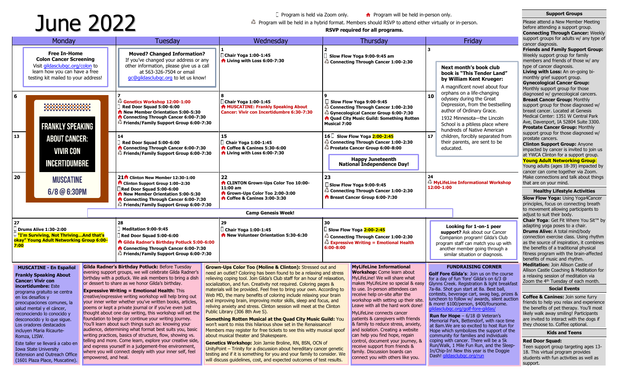# Program is held via Zoom only.<br>**A** Program will be held in a hybrid format. Members should RSVP to attend either virtually or in-person.<br>**RSVP required for all programs.**<br>**RSVP required for all programs.**

 $\Box$  Program is held via Zoom only.  $\Box$  Program will be held in-person only.

**Support Groups** Please attend a New Member Meeting before attending a support group.

| Monday                                                                                                                                                                                                                                                                                                                                                                                                                                                                                                                                                                                                                                                                                                                                                                                                                                                                                                                                                                                                                                                                                                                                                                                                                                                                                                                                                                                                                                           |                                | Tuesday                                                                                                                                                 | Wednesday                                                                                                                       |                                                                                                                                                                                                                                                                                                                                                                                                                                                                                                                                                                                           | Thursday                                                                                                                                                                                                                                                                                                                                                                                                                                                                                                                                                                                                                                                                                                                                                                                                                                                                                                                                                                                                                                                                                       |                                                                                                                                                                                                                                                                                                       | Friday                                                                                                                                                                                                                                                                                                                                                                                                                                                                                                                                                                                           | support groups for adults w/ any type of<br>cancer diagnosis.<br><b>Friends and Family Support Group:</b><br>Weekly support group for family<br>members and friends of those w/ any<br>type of cancer diagnosis.<br>Living with Loss: An on-going bi-<br>monthly grief support group.<br><b>Gynecological Cancer Group:</b><br>Monthly support group for those<br>diagnosed w/ gynecological cancers.<br><b>Breast Cancer Group: Monthly</b><br>support group for those diagnosed w/<br>breast cancer. Located at Genesis<br>Medical Center: 1351 W Central Park<br>Ave, Davenport, IA 52804 Suite 3300.<br><b>Prostate Cancer Group: Monthly</b> |  |
|--------------------------------------------------------------------------------------------------------------------------------------------------------------------------------------------------------------------------------------------------------------------------------------------------------------------------------------------------------------------------------------------------------------------------------------------------------------------------------------------------------------------------------------------------------------------------------------------------------------------------------------------------------------------------------------------------------------------------------------------------------------------------------------------------------------------------------------------------------------------------------------------------------------------------------------------------------------------------------------------------------------------------------------------------------------------------------------------------------------------------------------------------------------------------------------------------------------------------------------------------------------------------------------------------------------------------------------------------------------------------------------------------------------------------------------------------|--------------------------------|---------------------------------------------------------------------------------------------------------------------------------------------------------|---------------------------------------------------------------------------------------------------------------------------------|-------------------------------------------------------------------------------------------------------------------------------------------------------------------------------------------------------------------------------------------------------------------------------------------------------------------------------------------------------------------------------------------------------------------------------------------------------------------------------------------------------------------------------------------------------------------------------------------|------------------------------------------------------------------------------------------------------------------------------------------------------------------------------------------------------------------------------------------------------------------------------------------------------------------------------------------------------------------------------------------------------------------------------------------------------------------------------------------------------------------------------------------------------------------------------------------------------------------------------------------------------------------------------------------------------------------------------------------------------------------------------------------------------------------------------------------------------------------------------------------------------------------------------------------------------------------------------------------------------------------------------------------------------------------------------------------------|-------------------------------------------------------------------------------------------------------------------------------------------------------------------------------------------------------------------------------------------------------------------------------------------------------|--------------------------------------------------------------------------------------------------------------------------------------------------------------------------------------------------------------------------------------------------------------------------------------------------------------------------------------------------------------------------------------------------------------------------------------------------------------------------------------------------------------------------------------------------------------------------------------------------|---------------------------------------------------------------------------------------------------------------------------------------------------------------------------------------------------------------------------------------------------------------------------------------------------------------------------------------------------------------------------------------------------------------------------------------------------------------------------------------------------------------------------------------------------------------------------------------------------------------------------------------------------|--|
| <b>Free In-Home</b><br><b>Colon Cancer Screening</b><br>Visit gildasclubgc.org/colon to<br>learn how you can have a free<br>testing kit mailed to your address!<br>l 6<br><b>FRANKLY SPEAKING</b><br>13<br><b>ABOUT CANCER:</b><br><b>VIVIR CON</b>                                                                                                                                                                                                                                                                                                                                                                                                                                                                                                                                                                                                                                                                                                                                                                                                                                                                                                                                                                                                                                                                                                                                                                                              |                                | <b>Moved? Changed Information?</b><br>at 563-326-7504 or email                                                                                          | Chair Yoga 1:00-1:45<br>the Living with Loss 6:00-7:30                                                                          |                                                                                                                                                                                                                                                                                                                                                                                                                                                                                                                                                                                           |                                                                                                                                                                                                                                                                                                                                                                                                                                                                                                                                                                                                                                                                                                                                                                                                                                                                                                                                                                                                                                                                                                | Next month's book club<br>book is "This Tender Land"<br>by William Kent Krueger:<br>A magnificent novel about four                                                                                                                                                                                    |                                                                                                                                                                                                                                                                                                                                                                                                                                                                                                                                                                                                  |                                                                                                                                                                                                                                                                                                                                                                                                                                                                                                                                                                                                                                                   |  |
|                                                                                                                                                                                                                                                                                                                                                                                                                                                                                                                                                                                                                                                                                                                                                                                                                                                                                                                                                                                                                                                                                                                                                                                                                                                                                                                                                                                                                                                  |                                | Genetics Workshop 12:00-1:00<br>Red Door Squad 5:00-6:00<br><b>Rew Member Orientation 5:00-5:30</b>                                                     | Chair Yoga 1:00-1:45<br>A MUSCATINE: Frankly Speaking About<br>Cancer: Vivir con Incertidumbre 6:30-7:30                        | $\Box$ Slow Flow Yoga 9:00-9:45<br>Connecting Through Cancer 1:00-2:30<br>Gynecological Cancer Group 6:00-7:30<br><b>A</b> Quad City Music Guild: Something Rotten<br><b>Musical 7:00</b>                                                                                                                                                                                                                                                                                                                                                                                                 |                                                                                                                                                                                                                                                                                                                                                                                                                                                                                                                                                                                                                                                                                                                                                                                                                                                                                                                                                                                                                                                                                                | 10                                                                                                                                                                                                                                                                                                    |                                                                                                                                                                                                                                                                                                                                                                                                                                                                                                                                                                                                  |                                                                                                                                                                                                                                                                                                                                                                                                                                                                                                                                                                                                                                                   |  |
|                                                                                                                                                                                                                                                                                                                                                                                                                                                                                                                                                                                                                                                                                                                                                                                                                                                                                                                                                                                                                                                                                                                                                                                                                                                                                                                                                                                                                                                  |                                | 14<br>Red Door Squad 5:00-6:00                                                                                                                          | 15<br><b>Chair Yoga 1:00-1:45</b><br>Coffee & Canines 5:30-6:00<br>$\hat{ }$ Living with Loss 6:00-7:30                         |                                                                                                                                                                                                                                                                                                                                                                                                                                                                                                                                                                                           |                                                                                                                                                                                                                                                                                                                                                                                                                                                                                                                                                                                                                                                                                                                                                                                                                                                                                                                                                                                                                                                                                                | 17                                                                                                                                                                                                                                                                                                    |                                                                                                                                                                                                                                                                                                                                                                                                                                                                                                                                                                                                  | support group for those diagnosed w/<br>prostate cancers.<br><b>Clinton Support Group: Anyone</b><br>impacted by cancer is invited to join us<br>at YWCA Clinton for a support group.<br><b>Young Adult Networking Group:</b>                                                                                                                                                                                                                                                                                                                                                                                                                     |  |
| 20<br><b>MUSCATINE</b><br>6/8 @ 6:30PM                                                                                                                                                                                                                                                                                                                                                                                                                                                                                                                                                                                                                                                                                                                                                                                                                                                                                                                                                                                                                                                                                                                                                                                                                                                                                                                                                                                                           |                                | 21 <sup>t</sup> Clinton New Member 12:30-1:00<br>Clinton Support Group 1:00-2:30<br>Red Door Squad 5:00-6:00<br><b>Rew Member Orientation 5:00-5:30</b> | 22<br>A CLINTON Grown-Ups Color Too 10:00-<br>11:00 am<br>Grown-Ups Color Too 2:00-3:00<br><b>ft</b> Coffee & Canines 3:00-3:30 | 23<br>Slow Flow Yoga 9:00-9:45<br>Connecting Through Cancer 1:00-2:30<br><b>Breast Cancer Group 6:00-7:30</b>                                                                                                                                                                                                                                                                                                                                                                                                                                                                             |                                                                                                                                                                                                                                                                                                                                                                                                                                                                                                                                                                                                                                                                                                                                                                                                                                                                                                                                                                                                                                                                                                | <b>&amp; MyLifeLine Informational Workshop</b><br>12:00-1:00                                                                                                                                                                                                                                          |                                                                                                                                                                                                                                                                                                                                                                                                                                                                                                                                                                                                  | Young adults (ages 18-39) impacted by<br>cancer can come together via Zoom.<br>Make connections and talk about things<br>that are on your mind.<br><b>Healthy Lifestyle Activities</b><br><b>Slow Flow Yoga: Using Yoga4Cancer</b><br>principles, focus on connecting breath                                                                                                                                                                                                                                                                                                                                                                      |  |
|                                                                                                                                                                                                                                                                                                                                                                                                                                                                                                                                                                                                                                                                                                                                                                                                                                                                                                                                                                                                                                                                                                                                                                                                                                                                                                                                                                                                                                                  |                                |                                                                                                                                                         | <b>Camp Genesis Week!</b>                                                                                                       |                                                                                                                                                                                                                                                                                                                                                                                                                                                                                                                                                                                           |                                                                                                                                                                                                                                                                                                                                                                                                                                                                                                                                                                                                                                                                                                                                                                                                                                                                                                                                                                                                                                                                                                |                                                                                                                                                                                                                                                                                                       |                                                                                                                                                                                                                                                                                                                                                                                                                                                                                                                                                                                                  | to movement allowing participants to<br>adjust to suit their body.                                                                                                                                                                                                                                                                                                                                                                                                                                                                                                                                                                                |  |
| 27<br>Drums Alive 1:30-2:00<br>U "I'm Surviving, Not ThrivingAnd that's<br>okay" Young Adult Networking Group 6:00-<br>7:00                                                                                                                                                                                                                                                                                                                                                                                                                                                                                                                                                                                                                                                                                                                                                                                                                                                                                                                                                                                                                                                                                                                                                                                                                                                                                                                      |                                | 28<br><b>Meditation 9:00-9:45</b><br>Red Door Squad 5:00-6:00                                                                                           | 29<br><b>Chair Yoga 1:00-1:45</b><br><b>A</b> New Volunteer Orientation 5:30-6:30                                               | 30<br>Slow Flow Yoga 2:00-2:45<br>Connecting Through Cancer 1:00-2:30<br>Expressive Writing = Emotional Health<br>6:00-8:00                                                                                                                                                                                                                                                                                                                                                                                                                                                               |                                                                                                                                                                                                                                                                                                                                                                                                                                                                                                                                                                                                                                                                                                                                                                                                                                                                                                                                                                                                                                                                                                |                                                                                                                                                                                                                                                                                                       |                                                                                                                                                                                                                                                                                                                                                                                                                                                                                                                                                                                                  | Chair Yoga: Get Fit Where You Sit™ by<br>adapting yoga poses to a chair.<br><b>Drums Alive:</b> A total mind/body<br>connection exercise class. Using rhythm<br>as the source of inspiration, it combines<br>the benefits of a traditional physical<br>fitness program with the brain-affected<br>benefits of music and rhythm.                                                                                                                                                                                                                                                                                                                   |  |
| Gilda Radner's Birthday Potluck: Before Tuesday<br><b>MUSCATINE - En Español</b><br>evening support groups, we will celebrate Gilda Radner's<br><b>Frankly Speaking About</b><br>birthday with a potluck. We ask members to bring a dish<br><b>Cancer: Vivir con</b><br>or dessert to share as we honor Gilda's birthday.<br><b>incertidumbre: Este</b><br><b>Expressive Writing = Emotional Health: This</b><br>programa gratuito se centra<br>creative/expressive writing workshop will help bring out<br>en los desafíos y<br>your inner writer whether you've written books, articles,<br>preocupaciones comunes, la<br>poems or kept a private journal or if you've even just<br>salud mental y el cáncer,<br>thought about one day writing, this workshop will set the<br>reconociendo lo conocido y<br>foundation to begin or continue your writing journey.<br>desconocido y lo que sigue.<br>You'll learn about such things such as: knowing your<br>Los oradores destacados<br>audience, determining what format best suits you, basic<br>incluyen Maria Ricaurte-<br>writing practices, basics of structure, flow, showing vs.<br>Romza, LISW.<br>telling and more. Come learn, explore your creative side,<br>Este taller se llevará a cabo en<br>and express yourself in a judgement-free environment,<br>Iowa State University<br>where you will connect deeply with your inner self, feel<br><b>Extension and Outreach Office</b> |                                |                                                                                                                                                         |                                                                                                                                 | <b>MyLifeLine Informational</b><br><b>Workshop:</b> Come learn about<br>MyLifeLine! We will share what<br>makes MyLifeLine so special & easy<br>to use. In-person attendees can<br>receive help on-site after the<br>workshop with setting up their site.<br>Leave with all the hard work done!<br>MyLifeLine connects cancer<br>patients & caregivers with friends<br>& family to reduce stress, anxiety,<br>and isolation. Creating a website<br>can help you find hope, regain<br>control, document your journey, &<br>receive support from friends &<br>family. Discussion boards can | <b>FUNDRAISING CORNER</b><br>Golf Fore Gilda's: Join us on the course<br>for a day of fun 'fore' Gilda's on 6/3 @<br>Glynns Creek. Registration & light breakfast<br>7a-8a. Shot gun start at 8a. Best ball,<br>contests, beverage cart, swag bag, prizes &<br>luncheon to follow w/ awards, silent auction<br>& more! \$100/person, \$400/foursome.<br><b>Run for Hope</b> $- 6/18$ @ Veteran's<br>Memorial Park, Bettendorf, with race time<br>at 8am. We are so excited to host Run for<br>Hope which symbolizes the support of the<br>community for families and individuals<br>coping with cancer. There will be a 5k<br>Run/Walk, 1 Mile Fun Run, and the Sleep-<br>In/Chip-In! New this year is the Doggie                                                                                                                                                                                                                                                                                                                                                                              |                                                                                                                                                                                                                                                                                                       | <b>Meditation: Join Allison Castle of</b><br>Allison Castle Coaching & Meditation for<br>a relaxing session of meditation via<br>Zoom the 4 <sup>th</sup> Tuesday of each month.<br><b>Social Events</b><br>Coffee & Canines: Join some furry<br>friends to help you relax and experience<br>the benefits of pet therapy. You'll most<br>likely walk away smiling! Participants<br>are invited to interact with the dogs if<br>they choose to. Coffee optional.<br><b>Kids and Teens</b><br><b>Red Door Squad:</b><br>Teen support group targeting ages 13-<br>18. This virtual program provides |                                                                                                                                                                                                                                                                                                                                                                                                                                                                                                                                                                                                                                                   |  |
|                                                                                                                                                                                                                                                                                                                                                                                                                                                                                                                                                                                                                                                                                                                                                                                                                                                                                                                                                                                                                                                                                                                                                                                                                                                                                                                                                                                                                                                  | (1601 Plaza Place, Muscatine). | NCERTIDUMBRE                                                                                                                                            | empowered, and heal.                                                                                                            | If you've changed your address or any<br>other information, please give us a call<br>gc@gildasclubgc.org to let us know!<br>Connecting Through Cancer 6:00-7:30<br>Friends/Family Support Group 6:00-7:30<br>Connecting Through Cancer 6:00-7:30<br>Friends/Family Support Group 6:00-7:30<br>Connecting Through Cancer 6:00-7:30<br>Friends/Family Support Group 6:00-7:30<br>Gilda Radner's Birthday Potluck 5:00-6:00<br>Connecting Through Cancer 6:00-7:30<br>Friends/Family Support Group 6:00-7:30<br>Public Library (306 8th Ave S).<br>about musical theater and Shakespeare.    | <b>Grown-Ups Color Too (Moline &amp; Clinton):</b> Stressed out and<br>need an outlet? Coloring has been found to be a relaxing and stress<br>relieving coping tool. Join Gilda's Club staff for an hour of relaxation,<br>socialization, and fun. Creativity not required. Coloring pages &<br>materials will be provided. Feel free to bring your own. According to<br>Web MD, the many benefits of coloring include relaxing your brain<br>and improving brain, improving motor skills, sleep and focus, and<br>reliving anxiety and stress. Clinton session will meet at the Clinton<br><b>Something Rotten Musical at the Quad City Music Guild: You</b><br>won't want to miss this hilarious show set in the Renaissance!<br>Members may register for free tickets to see this witty musical spoof<br>Genetics Workshop: Join Jamie Broline, RN, BSN, OCN of<br>UnityPoint - Trinity for a discussion about hereditary cancer genetic<br>testing and if it is something for you and your family to consider. We<br>will discuss guidelines, cost, and expected outcomes of test results. | RSVP required for all programs.<br>Slow Flow Yoga 9:00-9:45 am<br>Connecting Through Cancer 1:00-2:30<br>16 Slow Flow Yoga 2:00-2:45<br>Connecting Through Cancer 1:00-2:30<br>Prostate Cancer Group 6:00-8:00<br>Happy Juneteenth<br>National Independence Day!<br>connect you with others like you. |                                                                                                                                                                                                                                                                                                                                                                                                                                                                                                                                                                                                  | orphans on a life-changing<br>odyssey during the Great<br>Depression, from the bestselling<br>author of Ordinary Grace.<br>1932 Minnesota-the Lincoln<br>School is a pitiless place where<br>hundreds of Native American<br>children, forcibly separated from<br>their parents, are sent to be<br>educated.<br>Looking for 1-on-1 peer<br>support? Ask about our Cancer<br>Companion program! Gilda's Club<br>program staff can match you up with<br>another member going through a<br>similar situation or diagnosis.<br>Dash! gildasclubgc.org/run                                                                                              |  |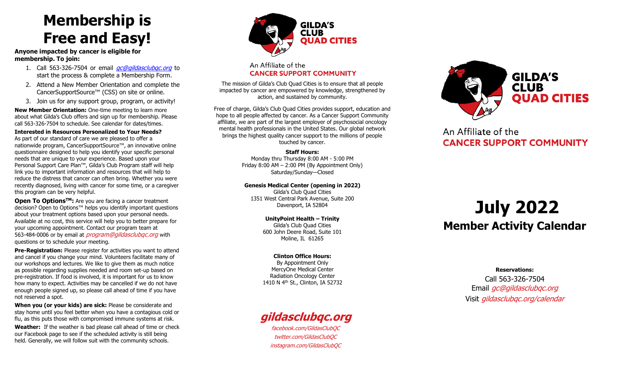### **Membership is Free and Easy!**

**Anyone impacted by cancer is eligible for membership. To join:** 

- 1. Call 563-326-7504 or email *ac@gildasclubac.org* to start the process & complete a Membership Form.
- 2. Attend a New Member Orientation and complete the CancerSupportSource™ (CSS) on site or online.
- 3. Join us for any support group, program, or activity!

**New Member Orientation:** One-time meeting to learn more about what Gilda's Club offers and sign up for membership. Please call 563-326-7504 to schedule. See calendar for dates/times.

**Interested in Resources Personalized to Your Needs?** As part of our standard of care we are pleased to offer a nationwide program, CancerSupportSource™, an innovative online questionnaire designed to help you identify your specific personal needs that are unique to your experience. Based upon your Personal Support Care Plan™, Gilda's Club Program staff will help link you to important information and resources that will help to reduce the distress that cancer can often bring. Whether you were recently diagnosed, living with cancer for some time, or a caregiver this program can be very helpful.

**Open To OptionsTM:** Are you are facing a cancer treatment decision? Open to Options™ helps you identify important questions about your treatment options based upon your personal needs. Available at no cost, this service will help you to better prepare for your upcoming appointment. Contact our program team at 563-484-0006 or by email at *program@gildasclubgc.org* with questions or to schedule your meeting.

**Pre-Registration:** Please register for activities you want to attend and cancel if you change your mind. Volunteers facilitate many of our workshops and lectures. We like to give them as much notice as possible regarding supplies needed and room set-up based on pre-registration. If food is involved, it is important for us to know how many to expect. Activities may be cancelled if we do not have enough people signed up, so please call ahead of time if you have not reserved a spot.

**When you (or your kids) are sick:** Please be considerate and stay home until you feel better when you have a contagious cold or flu, as this puts those with compromised immune systems at risk.

**Weather:** If the weather is bad please call ahead of time or check our Facebook page to see if the scheduled activity is still being held. Generally, we will follow suit with the community schools.



### An Affiliate of the **CANCER SUPPORT COMMUNITY**

The mission of Gilda's Club Quad Cities is to ensure that all people impacted by cancer are empowered by knowledge, strengthened by action, and sustained by community.

Free of charge, Gilda's Club Quad Cities provides support, education and hope to all people affected by cancer. As a Cancer Support Community affiliate, we are part of the largest employer of psychosocial oncology mental health professionals in the United States. Our global network brings the highest quality cancer support to the millions of people touched by cancer.

#### **Staff Hours:**

Monday thru Thursday 8:00 AM - 5:00 PM Friday 8:00 AM – 2:00 PM (By Appointment Only) Saturday/Sunday—Closed

**Genesis Medical Center (opening in 2022)**

Gilda's Club Quad Cities 1351 West Central Park Avenue, Suite 200 Davenport, IA 52804

> **UnityPoint Health – Trinity**  Gilda's Club Quad Cities 600 John Deere Road, Suite 101 Moline, IL 61265

#### **Clinton Office Hours:**

By Appointment Only MercyOne Medical Center Radiation Oncology Center 1410 N 4th St., Clinton, IA 52732

### **[gildasclubqc.org](https://www.gildasclubqc.org/)**

[facebook.com/GildasClubQC](https://www.facebook.com/GildasClubQC) [twitter.com/GildasClubQC](https://www.twitter.com/GildasClubQC) [instagram.com/GildasClubQC](https://www.instagram.com/GildasClubQC)



An Affiliate of the **CANCER SUPPORT COMMUNITY** 

## **July 2022 Member Activity Calendar**

**Reservations:**

Call 563-326-7504 Email *[gc@gildasclubqc.org](mailto:gc@gildasclubqc.org)* Visit [gildasclubqc.org/calendar](http://www.gildasclubqc.org/calendar)